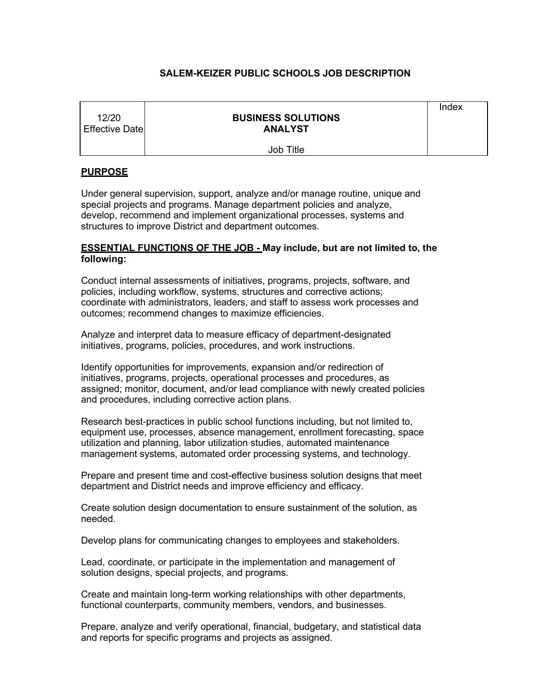# **SALEM-KEIZER PUBLIC SCHOOLS JOB DESCRIPTION**

| 12/20<br><b>Effective Date</b> | <b>BUSINESS SOLUTIONS</b><br><b>ANALYST</b> | Index |
|--------------------------------|---------------------------------------------|-------|
|                                | <b>Job Title</b>                            |       |

# **PURPOSE**

Under general supervision, support, analyze and/or manage routine, unique and special projects and programs. Manage department policies and analyze, develop, recommend and implement organizational processes, systems and structures to improve District and department outcomes.

# **ESSENTIAL FUNCTIONS OF THE JOB - May include, but are not limited to, the following:**

Conduct internal assessments of initiatives, programs, projects, software, and policies, including workflow, systems, structures and corrective actions; coordinate with administrators, leaders, and staff to assess work processes and outcomes; recommend changes to maximize efficiencies.

Analyze and interpret data to measure efficacy of department-designated initiatives, programs, policies, procedures, and work instructions.

Identify opportunities for improvements, expansion and/or redirection of initiatives, programs, projects, operational processes and procedures, as assigned; monitor, document, and/or lead compliance with newly created policies and procedures, including corrective action plans.

Research best-practices in public school functions including, but not limited to, equipment use, processes, absence management, enrollment forecasting, space utilization and planning, labor utilization studies, automated maintenance management systems, automated order processing systems, and technology.

Prepare and present time and cost-effective business solution designs that meet department and District needs and improve efficiency and efficacy.

Create solution design documentation to ensure sustainment of the solution, as needed.

Develop plans for communicating changes to employees and stakeholders.

Lead, coordinate, or participate in the implementation and management of solution designs, special projects, and programs.

Create and maintain long-term working relationships with other departments, functional counterparts, community members, vendors, and businesses.

Prepare, analyze and verify operational, financial, budgetary, and statistical data and reports for specific programs and projects as assigned.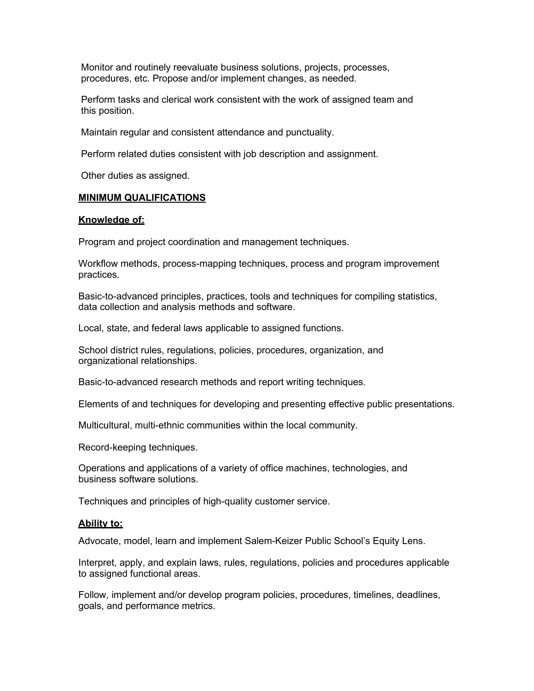Monitor and routinely reevaluate business solutions, projects, processes, procedures, etc. Propose and/or implement changes, as needed.

Perform tasks and clerical work consistent with the work of assigned team and this position.

Maintain regular and consistent attendance and punctuality.

Perform related duties consistent with job description and assignment.

Other duties as assigned.

### **MINIMUM QUALIFICATIONS**

#### **Knowledge of:**

Program and project coordination and management techniques.

Workflow methods, process-mapping techniques, process and program improvement practices.

Basic-to-advanced principles, practices, tools and techniques for compiling statistics, data collection and analysis methods and software.

Local, state, and federal laws applicable to assigned functions.

School district rules, regulations, policies, procedures, organization, and organizational relationships.

Basic-to-advanced research methods and report writing techniques.

Elements of and techniques for developing and presenting effective public presentations.

Multicultural, multi-ethnic communities within the local community.

Record-keeping techniques.

Operations and applications of a variety of office machines, technologies, and business software solutions.

Techniques and principles of high-quality customer service.

### **Ability to:**

Advocate, model, learn and implement Salem-Keizer Public School's Equity Lens.

Interpret, apply, and explain laws, rules, regulations, policies and procedures applicable to assigned functional areas.

Follow, implement and/or develop program policies, procedures, timelines, deadlines, goals, and performance metrics.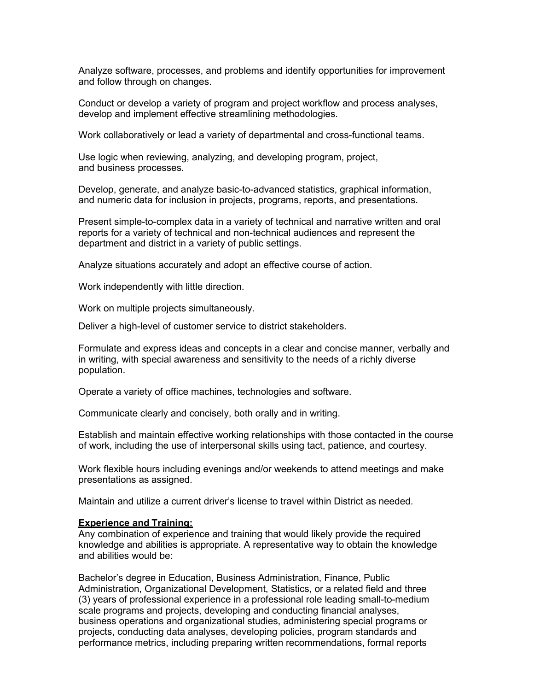Analyze software, processes, and problems and identify opportunities for improvement and follow through on changes.

Conduct or develop a variety of program and project workflow and process analyses, develop and implement effective streamlining methodologies.

Work collaboratively or lead a variety of departmental and cross-functional teams.

Use logic when reviewing, analyzing, and developing program, project, and business processes.

Develop, generate, and analyze basic-to-advanced statistics, graphical information, and numeric data for inclusion in projects, programs, reports, and presentations.

Present simple-to-complex data in a variety of technical and narrative written and oral reports for a variety of technical and non-technical audiences and represent the department and district in a variety of public settings.

Analyze situations accurately and adopt an effective course of action.

Work independently with little direction.

Work on multiple projects simultaneously.

Deliver a high-level of customer service to district stakeholders.

Formulate and express ideas and concepts in a clear and concise manner, verbally and in writing, with special awareness and sensitivity to the needs of a richly diverse population.

Operate a variety of office machines, technologies and software.

Communicate clearly and concisely, both orally and in writing.

Establish and maintain effective working relationships with those contacted in the course of work, including the use of interpersonal skills using tact, patience, and courtesy.

Work flexible hours including evenings and/or weekends to attend meetings and make presentations as assigned.

Maintain and utilize a current driver's license to travel within District as needed.

### **Experience and Training:**

Any combination of experience and training that would likely provide the required knowledge and abilities is appropriate. A representative way to obtain the knowledge and abilities would be:

Bachelor's degree in Education, Business Administration, Finance, Public Administration, Organizational Development, Statistics, or a related field and three (3) years of professional experience in a professional role leading small-to-medium scale programs and projects, developing and conducting financial analyses, business operations and organizational studies, administering special programs or projects, conducting data analyses, developing policies, program standards and performance metrics, including preparing written recommendations, formal reports